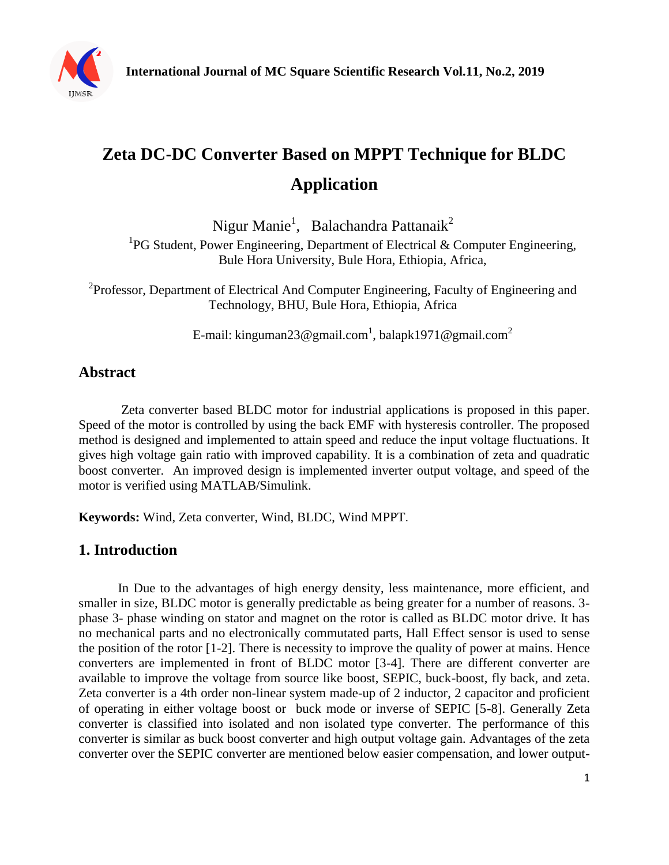

# **Zeta DC-DC Converter Based on MPPT Technique for BLDC Application**

Nigur Manie<sup>1</sup>, Balachandra Pattanaik<sup>2</sup>

<sup>1</sup>PG Student, Power Engineering, Department of Electrical & Computer Engineering, Bule Hora University, Bule Hora, Ethiopia, Africa,

<sup>2</sup>Professor, Department of Electrical And Computer Engineering, Faculty of Engineering and Technology, BHU, Bule Hora, Ethiopia, Africa

E-mail: kinguman $23$ @gmail.com $^1$ , balapk1971@gmail.com $^2$ 

## **Abstract**

Zeta converter based BLDC motor for industrial applications is proposed in this paper. Speed of the motor is controlled by using the back EMF with hysteresis controller. The proposed method is designed and implemented to attain speed and reduce the input voltage fluctuations. It gives high voltage gain ratio with improved capability. It is a combination of zeta and quadratic boost converter. An improved design is implemented inverter output voltage, and speed of the motor is verified using MATLAB/Simulink.

**Keywords:** Wind, Zeta converter, Wind, BLDC, Wind MPPT.

## **1. Introduction**

In Due to the advantages of high energy density, less maintenance, more efficient, and smaller in size, BLDC motor is generally predictable as being greater for a number of reasons. 3 phase 3- phase winding on stator and magnet on the rotor is called as BLDC motor drive. It has no mechanical parts and no electronically commutated parts, Hall Effect sensor is used to sense the position of the rotor [1-2]. There is necessity to improve the quality of power at mains. Hence converters are implemented in front of BLDC motor [3-4]. There are different converter are available to improve the voltage from source like boost, SEPIC, buck-boost, fly back, and zeta. Zeta converter is a 4th order non-linear system made-up of 2 inductor, 2 capacitor and proficient of operating in either voltage boost or buck mode or inverse of SEPIC [5-8]. Generally Zeta converter is classified into isolated and non isolated type converter. The performance of this converter is similar as buck boost converter and high output voltage gain. Advantages of the zeta converter over the SEPIC converter are mentioned below easier compensation, and lower output-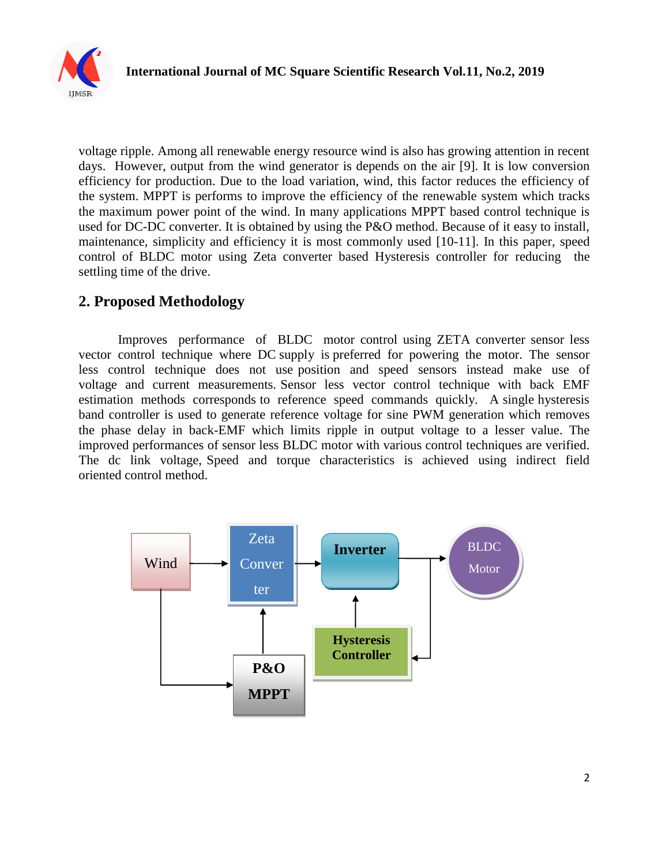

voltage ripple. Among all renewable energy resource wind is also has growing attention in recent days. However, output from the wind generator is depends on the air [9]. It is low conversion efficiency for production. Due to the load variation, wind, this factor reduces the efficiency of the system. MPPT is performs to improve the efficiency of the renewable system which tracks the maximum power point of the wind. In many applications MPPT based control technique is used for DC-DC converter. It is obtained by using the P&O method. Because of it easy to install, maintenance, simplicity and efficiency it is most commonly used [10-11]. In this paper, speed control of BLDC motor using Zeta converter based Hysteresis controller for reducing the settling time of the drive.

## **2. Proposed Methodology**

Improves performance of BLDC motor control using ZETA converter sensor less vector control technique where DC supply is preferred for powering the motor. The sensor less control technique does not use position and speed sensors instead make use of voltage and current measurements. Sensor less vector control technique with back EMF estimation methods corresponds to reference speed commands quickly. A single hysteresis band controller is used to generate reference voltage for sine PWM generation which removes the phase delay in back-EMF which limits ripple in output voltage to a lesser value. The improved performances of sensor less BLDC motor with various control techniques are verified. The dc link voltage, Speed and torque characteristics is achieved using indirect field oriented control method.

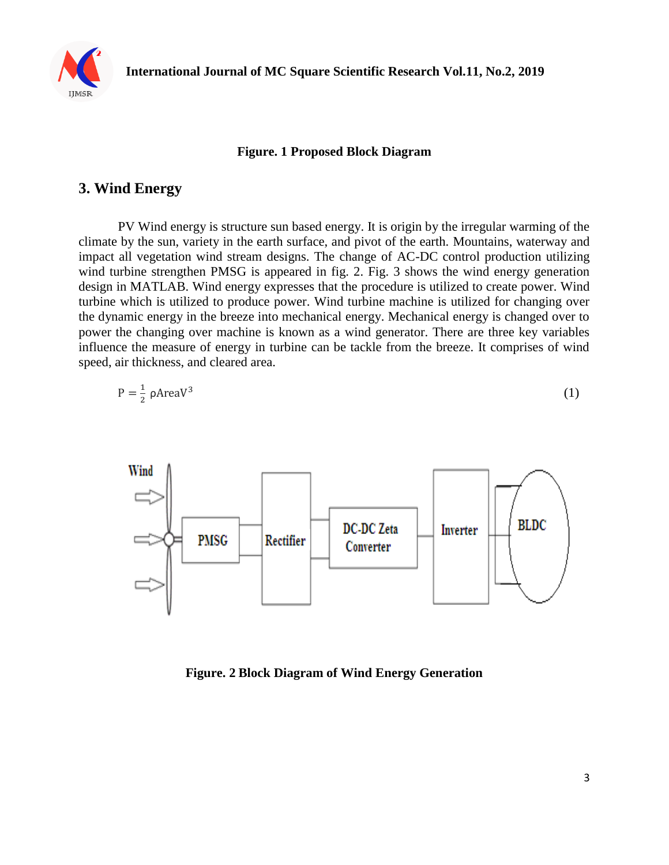

#### **Figure. 1 Proposed Block Diagram**

#### **3. Wind Energy**

PV Wind energy is structure sun based energy. It is origin by the irregular warming of the climate by the sun, variety in the earth surface, and pivot of the earth. Mountains, waterway and impact all vegetation wind stream designs. The change of AC-DC control production utilizing wind turbine strengthen PMSG is appeared in fig. 2. Fig. 3 shows the wind energy generation design in MATLAB. Wind energy expresses that the procedure is utilized to create power. Wind turbine which is utilized to produce power. Wind turbine machine is utilized for changing over the dynamic energy in the breeze into mechanical energy. Mechanical energy is changed over to power the changing over machine is known as a wind generator. There are three key variables influence the measure of energy in turbine can be tackle from the breeze. It comprises of wind speed, air thickness, and cleared area.

$$
P = \frac{1}{2} \rho \text{AreaV}^3 \tag{1}
$$



**Figure. 2 Block Diagram of Wind Energy Generation**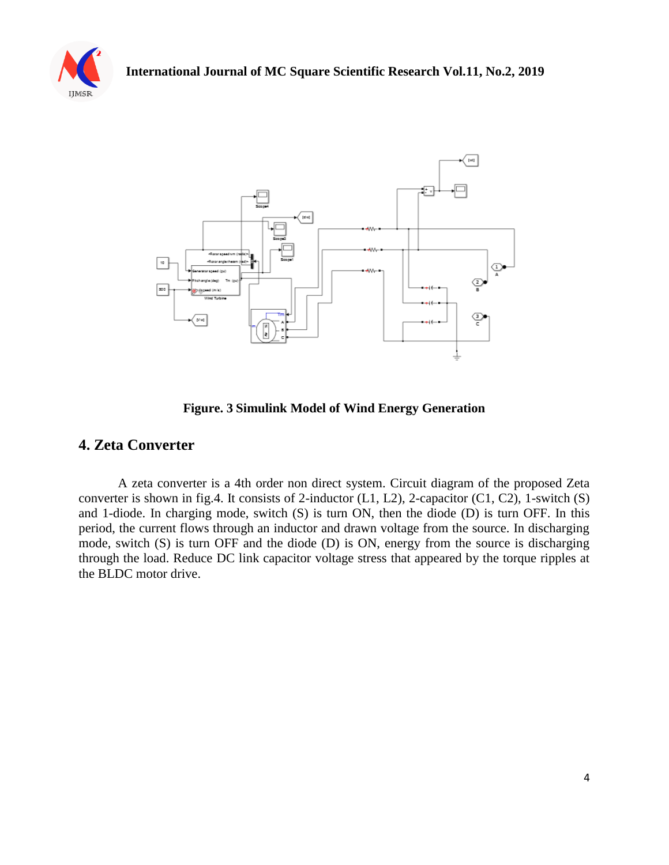



**Figure. 3 Simulink Model of Wind Energy Generation**

#### **4. Zeta Converter**

A zeta converter is a 4th order non direct system. Circuit diagram of the proposed Zeta converter is shown in fig.4. It consists of 2-inductor  $(L1, L2)$ , 2-capacitor  $(C1, C2)$ , 1-switch  $(S)$ and 1-diode. In charging mode, switch (S) is turn ON, then the diode (D) is turn OFF. In this period, the current flows through an inductor and drawn voltage from the source. In discharging mode, switch (S) is turn OFF and the diode (D) is ON, energy from the source is discharging through the load. Reduce DC link capacitor voltage stress that appeared by the torque ripples at the BLDC motor drive.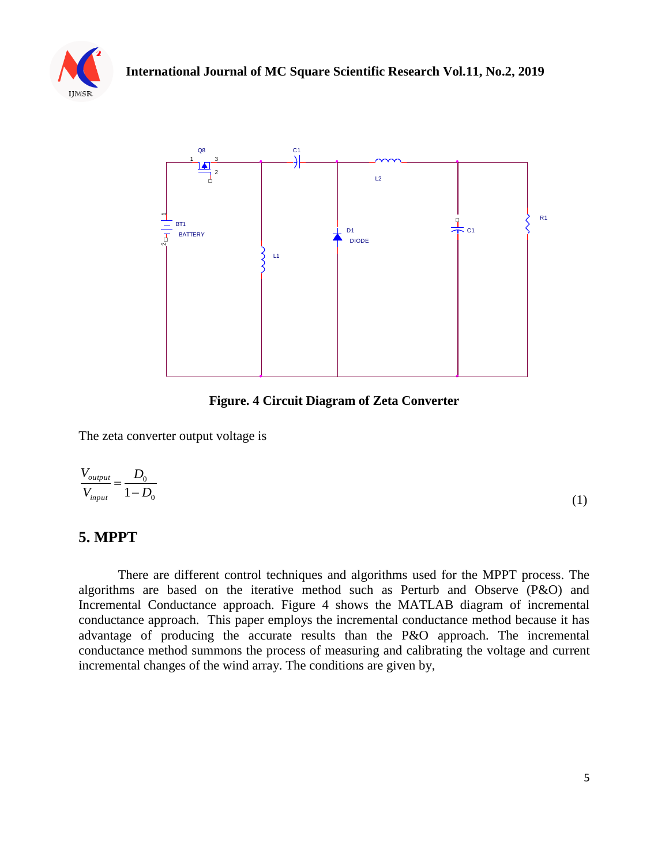



**Figure. 4 Circuit Diagram of Zeta Converter** 

The zeta converter output voltage is

$$
\frac{V_{\text{output}}}{V_{\text{input}}} = \frac{D_0}{1 - D_0} \tag{1}
$$

## **5. MPPT**

There are different control techniques and algorithms used for the MPPT process. The algorithms are based on the iterative method such as Perturb and Observe (P&O) and Incremental Conductance approach. Figure 4 shows the MATLAB diagram of incremental conductance approach. This paper employs the incremental conductance method because it has advantage of producing the accurate results than the P&O approach. The incremental conductance method summons the process of measuring and calibrating the voltage and current incremental changes of the wind array. The conditions are given by,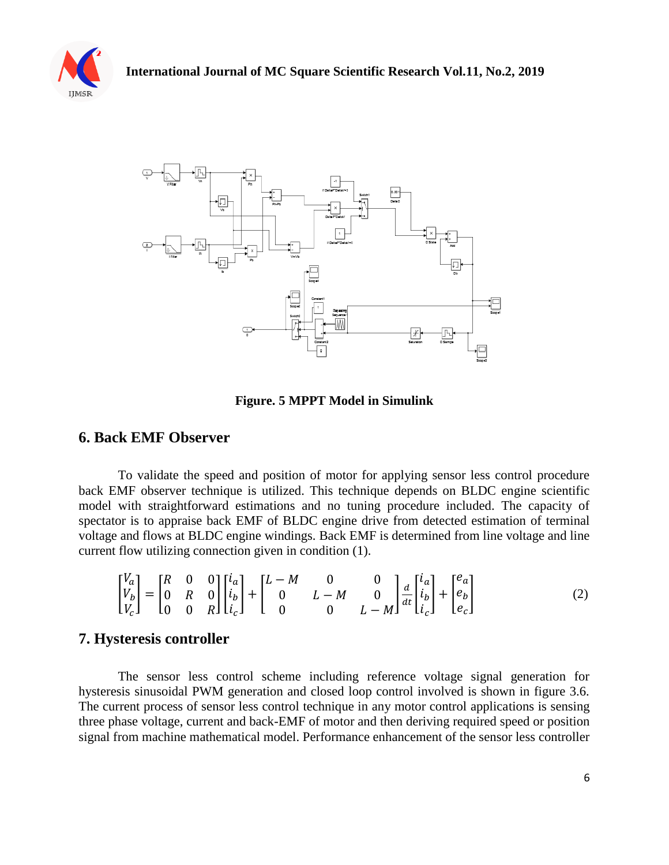



**Figure. 5 MPPT Model in Simulink**

#### **6. Back EMF Observer**

To validate the speed and position of motor for applying sensor less control procedure back EMF observer technique is utilized. This technique depends on BLDC engine scientific model with straightforward estimations and no tuning procedure included. The capacity of spectator is to appraise back EMF of BLDC engine drive from detected estimation of terminal voltage and flows at BLDC engine windings. Back EMF is determined from line voltage and line current flow utilizing connection given in condition (1).

$$
\begin{bmatrix} V_a \\ V_b \\ V_c \end{bmatrix} = \begin{bmatrix} R & 0 & 0 \\ 0 & R & 0 \\ 0 & 0 & R \end{bmatrix} \begin{bmatrix} i_a \\ i_b \\ i_c \end{bmatrix} + \begin{bmatrix} L - M & 0 & 0 \\ 0 & L - M & 0 \\ 0 & 0 & L - M \end{bmatrix} \frac{d}{dt} \begin{bmatrix} i_a \\ i_b \\ i_c \end{bmatrix} + \begin{bmatrix} e_a \\ e_b \\ e_c \end{bmatrix}
$$
 (2)

#### **7. Hysteresis controller**

The sensor less control scheme including reference voltage signal generation for hysteresis sinusoidal PWM generation and closed loop control involved is shown in figure 3.6. The current process of sensor less control technique in any motor control applications is sensing three phase voltage, current and back-EMF of motor and then deriving required speed or position signal from machine mathematical model. Performance enhancement of the sensor less controller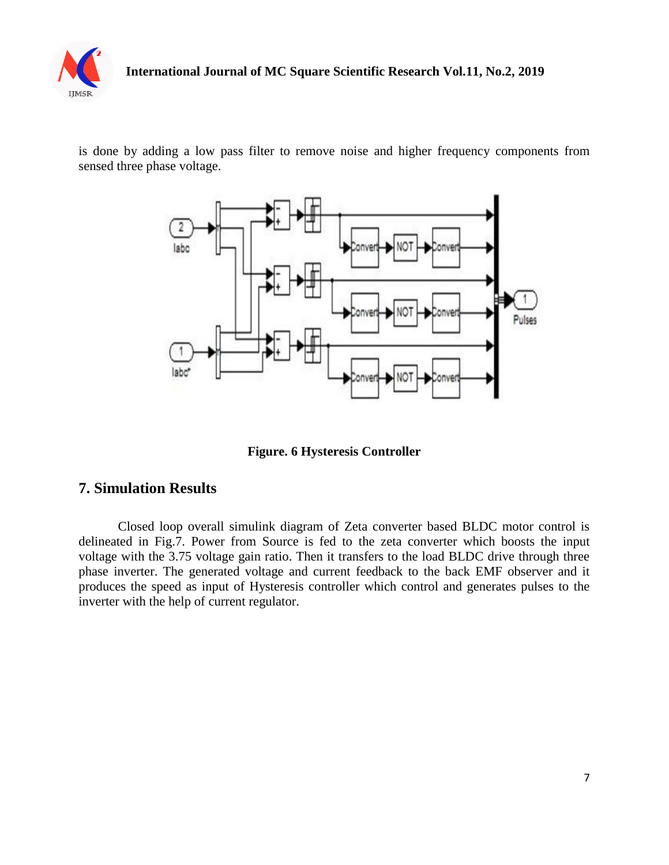

is done by adding a low pass filter to remove noise and higher frequency components from sensed three phase voltage.



**Figure. 6 Hysteresis Controller**

### **7. Simulation Results**

Closed loop overall simulink diagram of Zeta converter based BLDC motor control is delineated in Fig.7. Power from Source is fed to the zeta converter which boosts the input voltage with the 3.75 voltage gain ratio. Then it transfers to the load BLDC drive through three phase inverter. The generated voltage and current feedback to the back EMF observer and it produces the speed as input of Hysteresis controller which control and generates pulses to the inverter with the help of current regulator.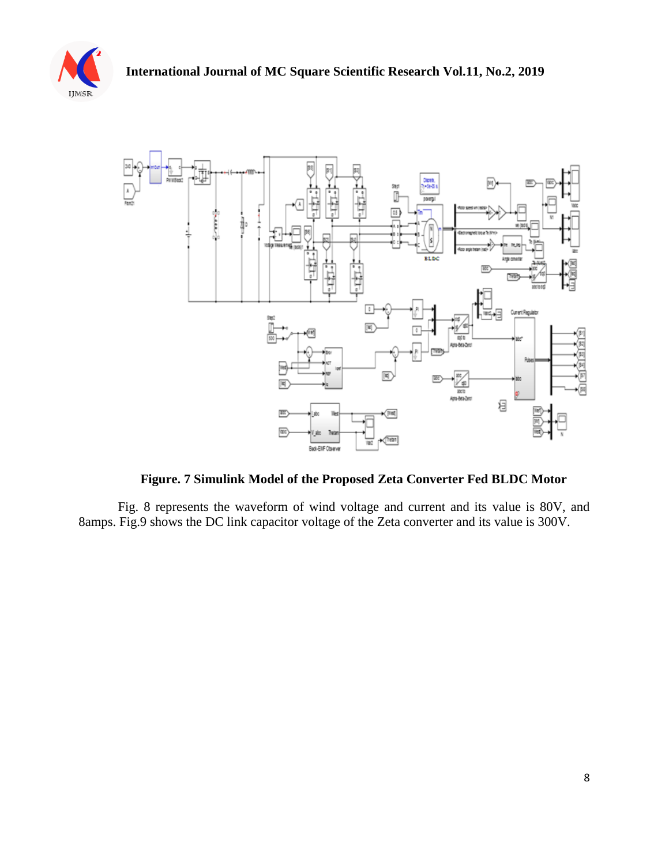



**Figure. 7 Simulink Model of the Proposed Zeta Converter Fed BLDC Motor**

Fig. 8 represents the waveform of wind voltage and current and its value is 80V, and 8amps. Fig.9 shows the DC link capacitor voltage of the Zeta converter and its value is 300V.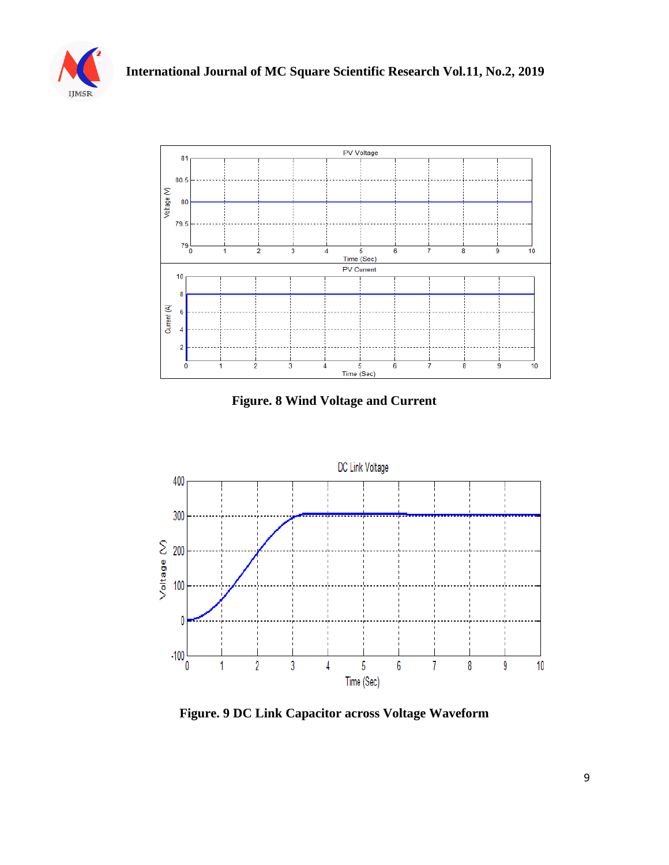



**Figure. 8 Wind Voltage and Current**



**Figure. 9 DC Link Capacitor across Voltage Waveform**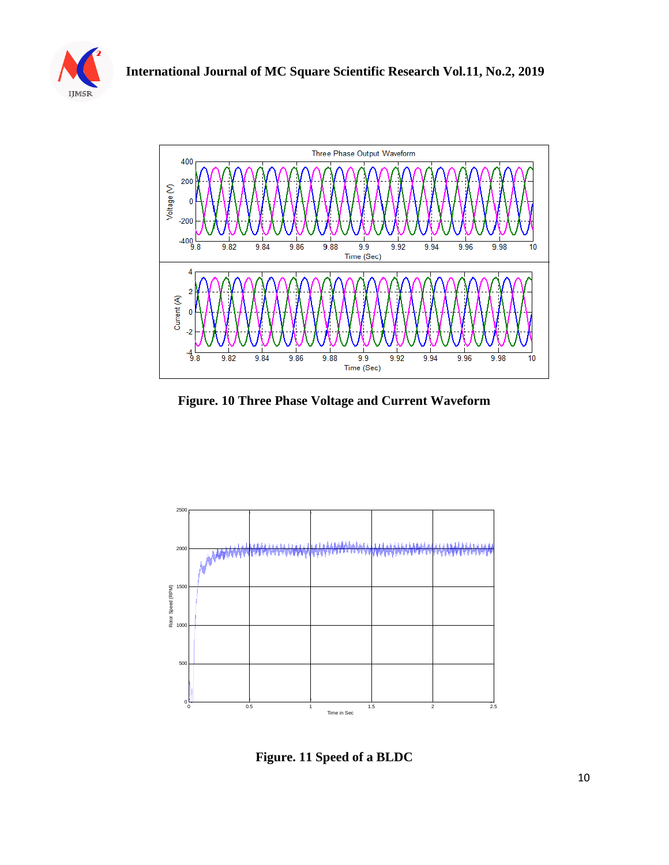



**Figure. 10 Three Phase Voltage and Current Waveform**



**Figure. 11 Speed of a BLDC**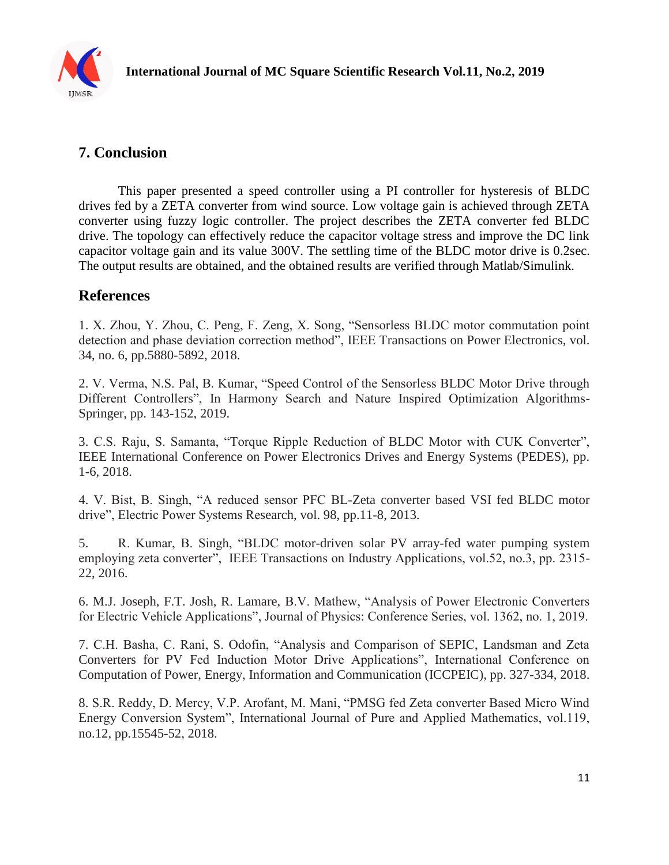

## **7. Conclusion**

This paper presented a speed controller using a PI controller for hysteresis of BLDC drives fed by a ZETA converter from wind source. Low voltage gain is achieved through ZETA converter using fuzzy logic controller. The project describes the ZETA converter fed BLDC drive. The topology can effectively reduce the capacitor voltage stress and improve the DC link capacitor voltage gain and its value 300V. The settling time of the BLDC motor drive is 0.2sec. The output results are obtained, and the obtained results are verified through Matlab/Simulink.

## **References**

1. X. Zhou, Y. Zhou, C. Peng, F. Zeng, X. Song, "Sensorless BLDC motor commutation point detection and phase deviation correction method", IEEE Transactions on Power Electronics, vol. 34, no. 6, pp.5880-5892, 2018.

2. V. Verma, N.S. Pal, B. Kumar, "Speed Control of the Sensorless BLDC Motor Drive through Different Controllers", In Harmony Search and Nature Inspired Optimization Algorithms-Springer, pp. 143-152, 2019.

3. C.S. Raju, S. Samanta, "Torque Ripple Reduction of BLDC Motor with CUK Converter", IEEE International Conference on Power Electronics Drives and Energy Systems (PEDES), pp. 1-6, 2018.

4. V. Bist, B. Singh, "A reduced sensor PFC BL-Zeta converter based VSI fed BLDC motor drive", Electric Power Systems Research, vol. 98, pp.11-8, 2013.

5. R. Kumar, B. Singh, "BLDC motor-driven solar PV array-fed water pumping system employing zeta converter", IEEE Transactions on Industry Applications, vol.52, no.3, pp. 2315- 22, 2016.

6. M.J. Joseph, F.T. Josh, R. Lamare, B.V. Mathew, "Analysis of Power Electronic Converters for Electric Vehicle Applications", Journal of Physics: Conference Series, vol. 1362, no. 1, 2019.

7. C.H. Basha, C. Rani, S. Odofin, "Analysis and Comparison of SEPIC, Landsman and Zeta Converters for PV Fed Induction Motor Drive Applications", International Conference on Computation of Power, Energy, Information and Communication (ICCPEIC), pp. 327-334, 2018.

8. S.R. Reddy, D. Mercy, V.P. Arofant, M. Mani, "PMSG fed Zeta converter Based Micro Wind Energy Conversion System", International Journal of Pure and Applied Mathematics, vol.119, no.12, pp.15545-52, 2018.